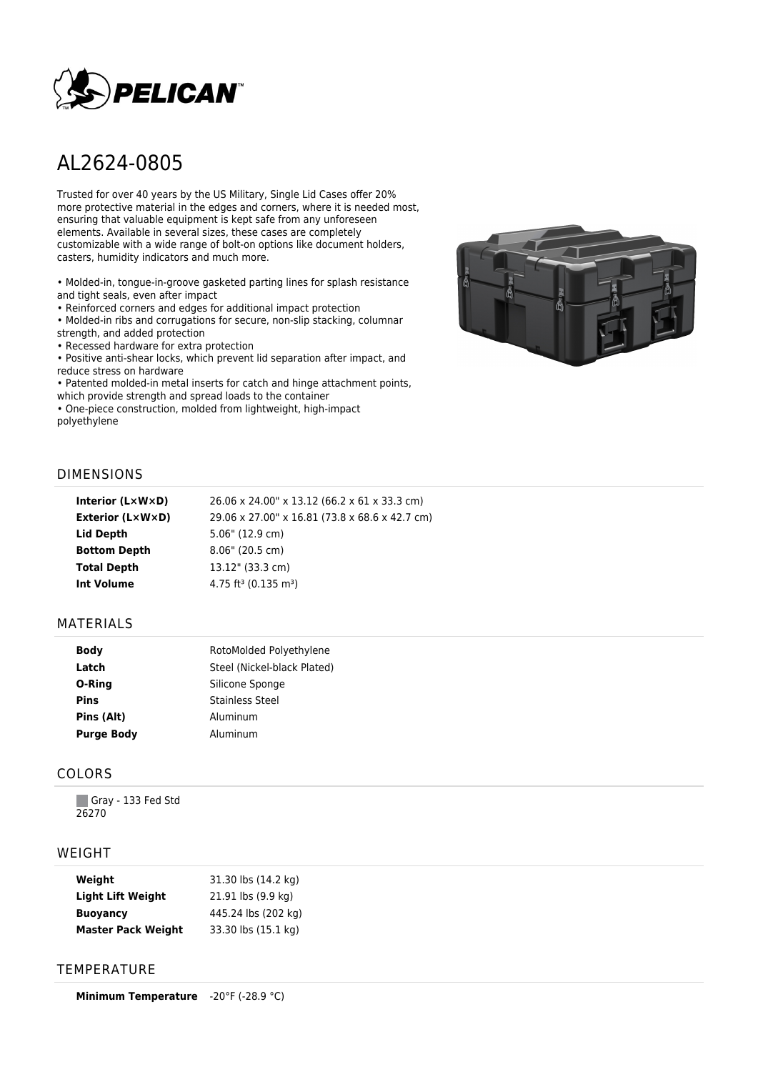

# AL2624-0805

Trusted for over 40 years by the US Military, Single Lid Cases offer 20% more protective material in the edges and corners, where it is needed most, ensuring that valuable equipment is kept safe from any unforeseen elements. Available in several sizes, these cases are completely customizable with a wide range of bolt-on options like document holders, casters, humidity indicators and much more.

• Molded-in, tongue-in-groove gasketed parting lines for splash resistance and tight seals, even after impact

• Reinforced corners and edges for additional impact protection

• Molded-in ribs and corrugations for secure, non-slip stacking, columnar strength, and added protection

• Recessed hardware for extra protection

• Positive anti-shear locks, which prevent lid separation after impact, and reduce stress on hardware

• Patented molded-in metal inserts for catch and hinge attachment points, which provide strength and spread loads to the container

• One-piece construction, molded from lightweight, high-impact polyethylene



#### DIMENSIONS

| Interior $(L \times W \times D)$ | 26.06 x 24.00" x 13.12 (66.2 x 61 x 33.3 cm)   |
|----------------------------------|------------------------------------------------|
| Exterior (L×W×D)                 | 29.06 x 27.00" x 16.81 (73.8 x 68.6 x 42.7 cm) |
| Lid Depth                        | 5.06" (12.9 cm)                                |
| <b>Bottom Depth</b>              | $8.06"$ (20.5 cm)                              |
| <b>Total Depth</b>               | 13.12" (33.3 cm)                               |
| Int Volume                       | 4.75 ft <sup>3</sup> (0.135 m <sup>3</sup> )   |
|                                  |                                                |

#### MATERIALS

| <b>Body</b>       | RotoMolded Polyethylene     |
|-------------------|-----------------------------|
| Latch             | Steel (Nickel-black Plated) |
| O-Ring            | Silicone Sponge             |
| <b>Pins</b>       | <b>Stainless Steel</b>      |
| Pins (Alt)        | Aluminum                    |
| <b>Purge Body</b> | Aluminum                    |

#### COLORS

Gray - 133 Fed Std 26270

#### WEIGHT

| Weight                    | 31.30 lbs (14.2 kg) |
|---------------------------|---------------------|
| <b>Light Lift Weight</b>  | 21.91 lbs (9.9 kg)  |
| <b>Buoyancy</b>           | 445.24 lbs (202 kg) |
| <b>Master Pack Weight</b> | 33.30 lbs (15.1 kg) |

### **TEMPERATURE**

**Minimum Temperature** -20°F (-28.9 °C)